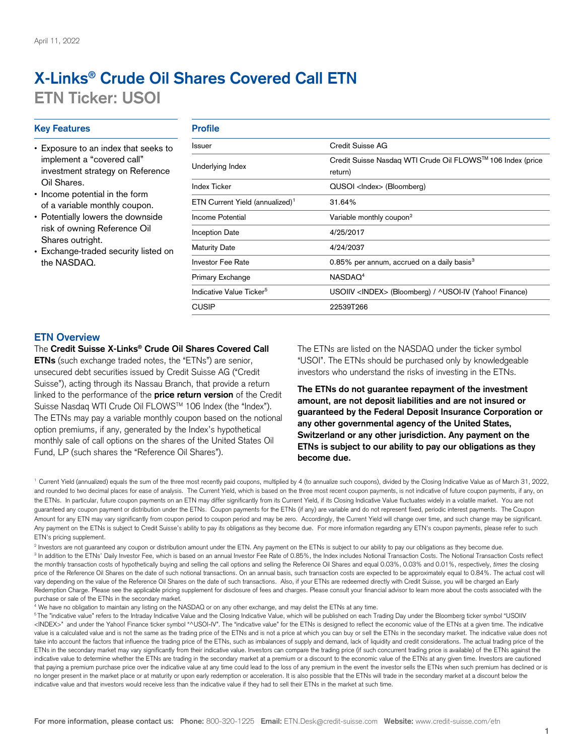# **X-Links® Crude Oil Shares Covered Call ETN ETN Ticker: USOI**

# **Key Features** *Profile*

- Exposure to an index that seeks to implement a "covered call" investment strategy on Reference Oil Shares.
- Income potential in the form of a variable monthly coupon.
- Potentially lowers the downside risk of owning Reference Oil Shares outright.
- Exchange-traded security listed on the NASDAQ.

| Credit Suisse AG<br>Credit Suisse Nasdaq WTI Crude Oil FLOWS™ 106 Index (price<br>return) |  |  |  |  |
|-------------------------------------------------------------------------------------------|--|--|--|--|
|                                                                                           |  |  |  |  |
| 31.64%                                                                                    |  |  |  |  |
| Variable monthly coupon <sup>2</sup>                                                      |  |  |  |  |
| 4/25/2017                                                                                 |  |  |  |  |
| 4/24/2037                                                                                 |  |  |  |  |
| 0.85% per annum, accrued on a daily basis $3$                                             |  |  |  |  |
| NASDAO <sup>4</sup>                                                                       |  |  |  |  |
| USOIIV <index> (Bloomberg) / ^USOI-IV (Yahoo! Finance)</index>                            |  |  |  |  |
| 22539T266                                                                                 |  |  |  |  |
|                                                                                           |  |  |  |  |

# **ETN Overview**

#### The **Credit Suisse X-Links® Crude Oil Shares Covered Call**

**ETNs** (such exchange traded notes, the "ETNs") are senior, unsecured debt securities issued by Credit Suisse AG ("Credit Suisse"), acting through its Nassau Branch, that provide a return linked to the performance of the **price return version** of the Credit Suisse Nasdaq WTI Crude Oil FLOWS™ 106 Index (the "Index"). The ETNs may pay a variable monthly coupon based on the notional option premiums, if any, generated by the Index's hypothetical monthly sale of call options on the shares of the United States Oil Fund, LP (such shares the "Reference Oil Shares").

The ETNs are listed on the NASDAQ under the ticker symbol "USOI". The ETNs should be purchased only by knowledgeable investors who understand the risks of investing in the ETNs.

**The ETNs do not guarantee repayment of the investment amount, are not deposit liabilities and are not insured or guaranteed by the Federal Deposit Insurance Corporation or any other governmental agency of the United States, Switzerland or any other jurisdiction. Any payment on the ETNs is subject to our ability to pay our obligations as they become due.**

<sup>1</sup> Current Yield (annualized) equals the sum of the three most recently paid coupons, multiplied by 4 (to annualize such coupons), divided by the Closing Indicative Value as of March 31, 2022, and rounded to two decimal places for ease of analysis. The Current Yield, which is based on the three most recent coupon payments, is not indicative of future coupon payments, if any, on the ETNs. In particular, future coupon payments on an ETN may differ significantly from its Current Yield, if its Closing Indicative Value fluctuates widely in a volatile market. You are not guaranteed any coupon payment or distribution under the ETNs. Coupon payments for the ETNs (if any) are variable and do not represent fixed, periodic interest payments. The Coupon Amount for any ETN may vary significantly from coupon period to coupon period and may be zero. Accordingly, the Current Yield will change over time, and such change may be significant. Any payment on the ETNs is subject to Credit Suisse's ability to pay its obligations as they become due. For more information regarding any ETN's coupon payments, please refer to such ETN's pricing supplement.

<sup>2</sup> Investors are not guaranteed any coupon or distribution amount under the ETN. Any payment on the ETNs is subject to our ability to pay our obligations as they become due. <sup>3</sup> In addition to the ETNs' Daily Investor Fee, which is based on an annual Investor Fee Rate of 0.85%, the Index includes Notional Transaction Costs. The Notional Transaction Costs reflect the monthly transaction costs of hypothetically buying and selling the call options and selling the Reference Oil Shares and equal 0.03%, 0.03% and 0.01%, respectively, *times* the closing price of the Reference Oil Shares on the date of such notional transactions. On an annual basis, such transaction costs are expected to be approximately equal to 0.84%. The actual cost will vary depending on the value of the Reference Oil Shares on the date of such transactions. Also, if your ETNs are redeemed directly with Credit Suisse, you will be charged an Early Redemption Charge. Please see the applicable pricing supplement for disclosure of fees and charges. Please consult your financial advisor to learn more about the costs associated with the purchase or sale of the ETNs in the secondary market.

<sup>4</sup> We have no obligation to maintain any listing on the NASDAQ or on any other exchange, and may delist the ETNs at any time.

<sup>5</sup>The "indicative value" refers to the Intraday Indicative Value and the Closing Indicative Value, which will be published on each Trading Day under the Bloomberg ticker symbol "USOIIV <INDEX>" and under the Yahoo! Finance ticker symbol "^USOI-IV". The "indicative value" for the ETNs is designed to reflect the economic value of the ETNs at a given time. The indicative value is a calculated value and is not the same as the trading price of the ETNs and is not a price at which you can buy or sell the ETNs in the secondary market. The indicative value does not take into account the factors that influence the trading price of the ETNs, such as imbalances of supply and demand, lack of liquidity and credit considerations. The actual trading price of the ETNs in the secondary market may vary significantly from their indicative value. Investors can compare the trading price (if such concurrent trading price is available) of the ETNs against the indicative value to determine whether the ETNs are trading in the secondary market at a premium or a discount to the economic value of the ETNs at any given time. Investors are cautioned that paying a premium purchase price over the indicative value at any time could lead to the loss of any premium in the event the investor sells the ETNs when such premium has declined or is no longer present in the market place or at maturity or upon early redemption or acceleration. It is also possible that the ETNs will trade in the secondary market at a discount below the indicative value and that investors would receive less than the indicative value if they had to sell their ETNs in the market at such time.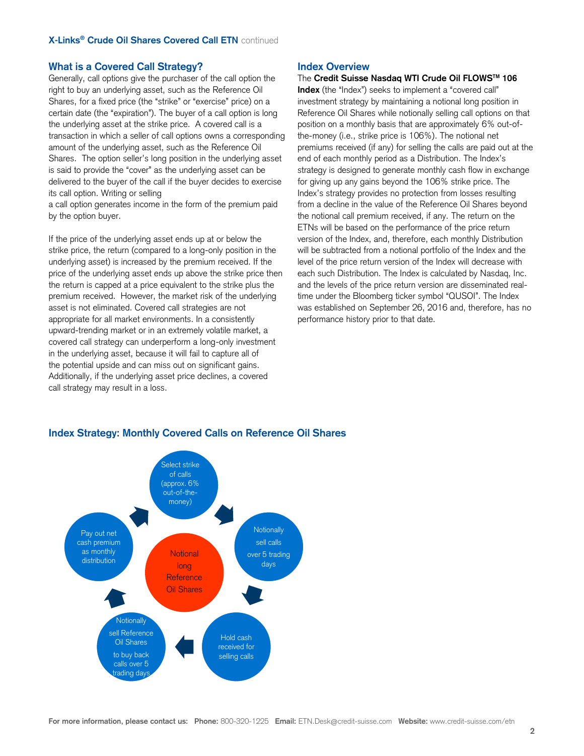## **What is a Covered Call Strategy?**

Generally, call options give the purchaser of the call option the right to buy an underlying asset, such as the Reference Oil Shares, for a fixed price (the "strike" or "exercise" price) on a certain date (the "expiration"). The buyer of a call option is long the underlying asset at the strike price. A covered call is a transaction in which a seller of call options owns a corresponding amount of the underlying asset, such as the Reference Oil Shares. The option seller's long position in the underlying asset is said to provide the "cover" as the underlying asset can be delivered to the buyer of the call if the buyer decides to exercise its call option. Writing or selling

a call option generates income in the form of the premium paid by the option buyer.

If the price of the underlying asset ends up at or below the strike price, the return (compared to a long-only position in the underlying asset) is increased by the premium received. If the price of the underlying asset ends up above the strike price then the return is capped at a price equivalent to the strike plus the premium received. However, the market risk of the underlying asset is not eliminated. Covered call strategies are not appropriate for all market environments. In a consistently upward-trending market or in an extremely volatile market, a covered call strategy can underperform a long-only investment in the underlying asset, because it will fail to capture all of the potential upside and can miss out on significant gains. Additionally, if the underlying asset price declines, a covered call strategy may result in a loss.

#### **Index Overview**

The **Credit Suisse Nasdaq WTI Crude Oil FLOWSTM 106**

**Index** (the "Index") seeks to implement a "covered call" investment strategy by maintaining a notional long position in Reference Oil Shares while notionally selling call options on that position on a monthly basis that are approximately 6% out-ofthe-money (i.e., strike price is 106%). The notional net premiums received (if any) for selling the calls are paid out at the end of each monthly period as a Distribution. The Index's strategy is designed to generate monthly cash flow in exchange for giving up any gains beyond the 106% strike price. The Index's strategy provides no protection from losses resulting from a decline in the value of the Reference Oil Shares beyond the notional call premium received, if any. The return on the ETNs will be based on the performance of the price return version of the Index, and, therefore, each monthly Distribution will be subtracted from a notional portfolio of the Index and the level of the price return version of the Index will decrease with each such Distribution. The Index is calculated by Nasdaq, Inc. and the levels of the price return version are disseminated realtime under the Bloomberg ticker symbol "QUSOI". The Index was established on September 26, 2016 and, therefore, has no performance history prior to that date.



## **Index Strategy: Monthly Covered Calls on Reference Oil Shares**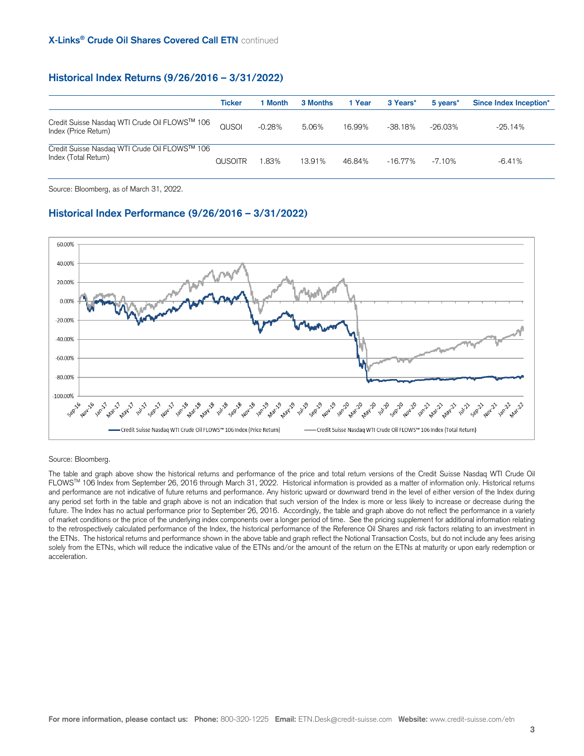# **Historical Index Returns (9/26/2016 – 3/31/2022)**

|                                                                       | Ticker         | l Month  | 3 Months | 1 Year | 3 Years*   | 5 years*  | Since Index Inception* |
|-----------------------------------------------------------------------|----------------|----------|----------|--------|------------|-----------|------------------------|
| Credit Suisse Nasdaq WTI Crude Oil FLOWS™ 106<br>Index (Price Return) | QUSOL          | $-0.28%$ | 5.06%    | 16.99% | -38.18%    | -26.03%   | $-25.14%$              |
| Credit Suisse Nasdaq WTI Crude Oil FLOWS™ 106<br>Index (Total Return) | <b>QUSOITR</b> | .83%     | 13.91%   | 46.84% | $-16.77\%$ | $-7.10\%$ | $-6.41%$               |

Source: Bloomberg, as of March 31, 2022.

# **Historical Index Performance (9/26/2016 – 3/31/2022)**



#### Source: Bloomberg.

The table and graph above show the historical returns and performance of the price and total return versions of the Credit Suisse Nasdaq WTI Crude Oil FLOWS™ 106 Index from September 26, 2016 through March 31, 2022. Historical information is provided as a matter of information only. Historical returns and performance are not indicative of future returns and performance. Any historic upward or downward trend in the level of either version of the Index during any period set forth in the table and graph above is not an indication that such version of the Index is more or less likely to increase or decrease during the future. The Index has no actual performance prior to September 26, 2016. Accordingly, the table and graph above do not reflect the performance in a variety of market conditions or the price of the underlying index components over a longer period of time. See the pricing supplement for additional information relating to the retrospectively calculated performance of the Index, the historical performance of the Reference Oil Shares and risk factors relating to an investment in the ETNs. The historical returns and performance shown in the above table and graph reflect the Notional Transaction Costs, but do not include any fees arising solely from the ETNs, which will reduce the indicative value of the ETNs and/or the amount of the return on the ETNs at maturity or upon early redemption or acceleration.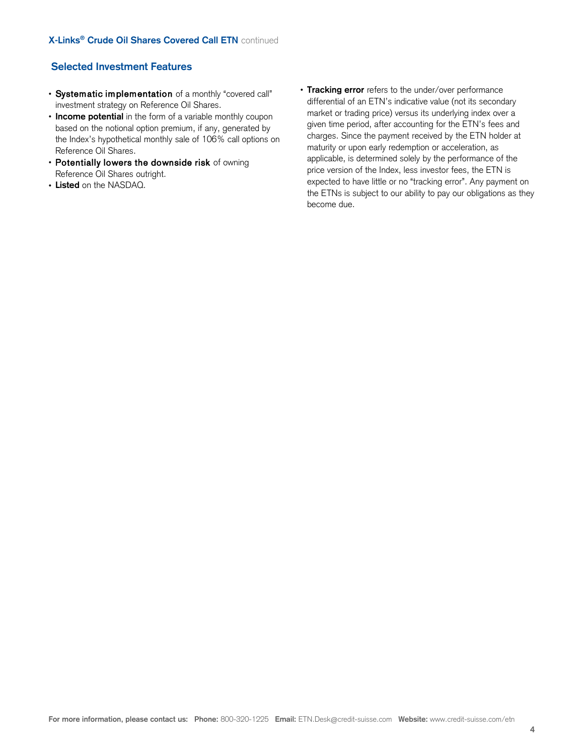# **Selected Investment Features**

- Systematic implementation of a monthly "covered call" investment strategy on Reference Oil Shares.
- **Income potential** in the form of a variable monthly coupon based on the notional option premium, if any, generated by the Index's hypothetical monthly sale of 106% call options on Reference Oil Shares.
- Potentially lowers the downside risk of owning Reference Oil Shares outright.
- **Listed** on the NASDAQ.

• **Tracking error** refers to the under/over performance differential of an ETN's indicative value (not its secondary market or trading price) versus its underlying index over a given time period, after accounting for the ETN's fees and charges. Since the payment received by the ETN holder at maturity or upon early redemption or acceleration, as applicable, is determined solely by the performance of the price version of the Index, less investor fees, the ETN is expected to have little or no "tracking error". Any payment on the ETNs is subject to our ability to pay our obligations as they become due.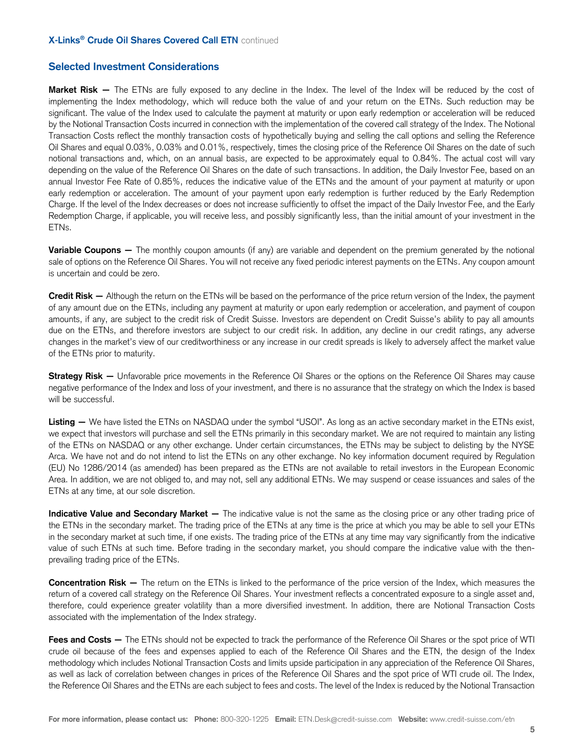#### **X-Links® Crude Oil Shares Covered Call ETN** continued

# **Selected Investment Considerations**

**Market Risk —** The ETNs are fully exposed to any decline in the Index. The level of the Index will be reduced by the cost of implementing the Index methodology, which will reduce both the value of and your return on the ETNs. Such reduction may be significant. The value of the Index used to calculate the payment at maturity or upon early redemption or acceleration will be reduced by the Notional Transaction Costs incurred in connection with the implementation of the covered call strategy of the Index. The Notional Transaction Costs reflect the monthly transaction costs of hypothetically buying and selling the call options and selling the Reference Oil Shares and equal 0.03%, 0.03% and 0.01%, respectively, times the closing price of the Reference Oil Shares on the date of such notional transactions and, which, on an annual basis, are expected to be approximately equal to 0.84%. The actual cost will vary depending on the value of the Reference Oil Shares on the date of such transactions. In addition, the Daily Investor Fee, based on an annual Investor Fee Rate of 0.85%, reduces the indicative value of the ETNs and the amount of your payment at maturity or upon early redemption or acceleration. The amount of your payment upon early redemption is further reduced by the Early Redemption Charge. If the level of the Index decreases or does not increase sufficiently to offset the impact of the Daily Investor Fee, and the Early Redemption Charge, if applicable, you will receive less, and possibly significantly less, than the initial amount of your investment in the ETNs.

**Variable Coupons —** The monthly coupon amounts (if any) are variable and dependent on the premium generated by the notional sale of options on the Reference Oil Shares. You will not receive any fixed periodic interest payments on the ETNs. Any coupon amount is uncertain and could be zero.

**Credit Risk —** Although the return on the ETNs will be based on the performance of the price return version of the Index, the payment of any amount due on the ETNs, including any payment at maturity or upon early redemption or acceleration, and payment of coupon amounts, if any, are subject to the credit risk of Credit Suisse. Investors are dependent on Credit Suisse's ability to pay all amounts due on the ETNs, and therefore investors are subject to our credit risk. In addition, any decline in our credit ratings, any adverse changes in the market's view of our creditworthiness or any increase in our credit spreads is likely to adversely affect the market value of the ETNs prior to maturity.

**Strategy Risk — Unfavorable price movements in the Reference Oil Shares or the options on the Reference Oil Shares may cause** negative performance of the Index and loss of your investment, and there is no assurance that the strategy on which the Index is based will be successful.

Listing — We have listed the ETNs on NASDAQ under the symbol "USOI". As long as an active secondary market in the ETNs exist, we expect that investors will purchase and sell the ETNs primarily in this secondary market. We are not required to maintain any listing of the ETNs on NASDAQ or any other exchange. Under certain circumstances, the ETNs may be subject to delisting by the NYSE Arca. We have not and do not intend to list the ETNs on any other exchange. No key information document required by Regulation (EU) No 1286/2014 (as amended) has been prepared as the ETNs are not available to retail investors in the European Economic Area. In addition, we are not obliged to, and may not, sell any additional ETNs. We may suspend or cease issuances and sales of the ETNs at any time, at our sole discretion.

**Indicative Value and Secondary Market — The indicative value is not the same as the closing price or any other trading price of** the ETNs in the secondary market. The trading price of the ETNs at any time is the price at which you may be able to sell your ETNs in the secondary market at such time, if one exists. The trading price of the ETNs at any time may vary significantly from the indicative value of such ETNs at such time. Before trading in the secondary market, you should compare the indicative value with the thenprevailing trading price of the ETNs.

**Concentration Risk —** The return on the ETNs is linked to the performance of the price version of the Index, which measures the return of a covered call strategy on the Reference Oil Shares. Your investment reflects a concentrated exposure to a single asset and, therefore, could experience greater volatility than a more diversified investment. In addition, there are Notional Transaction Costs associated with the implementation of the Index strategy.

Fees and Costs — The ETNs should not be expected to track the performance of the Reference Oil Shares or the spot price of WTI crude oil because of the fees and expenses applied to each of the Reference Oil Shares and the ETN, the design of the Index methodology which includes Notional Transaction Costs and limits upside participation in any appreciation of the Reference Oil Shares, as well as lack of correlation between changes in prices of the Reference Oil Shares and the spot price of WTI crude oil. The Index, the Reference Oil Shares and the ETNs are each subject to fees and costs. The level of the Index is reduced by the Notional Transaction